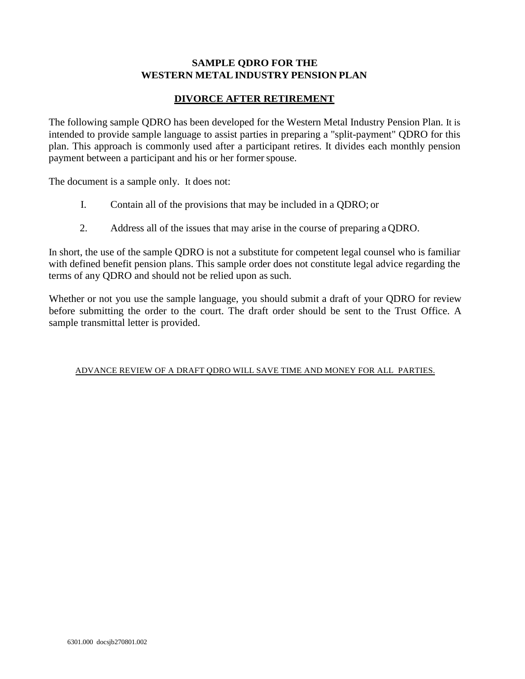# **SAMPLE QDRO FOR THE WESTERN METALINDUSTRY PENSION PLAN**

# **DIVORCE AFTER RETIREMENT**

The following sample QDRO has been developed for the Western Metal Industry Pension Plan. It is intended to provide sample language to assist parties in preparing a "split-payment" QDRO for this plan. This approach is commonly used after a participant retires. It divides each monthly pension payment between a participant and his or her former spouse.

The document is a sample only. It does not:

- I. Contain all of the provisions that may be included in a QDRO; or
- 2. Address all of the issues that may arise in the course of preparing a QDRO.

In short, the use of the sample QDRO is not a substitute for competent legal counsel who is familiar with defined benefit pension plans. This sample order does not constitute legal advice regarding the terms of any QDRO and should not be relied upon as such.

Whether or not you use the sample language, you should submit a draft of your QDRO for review before submitting the order to the court. The draft order should be sent to the Trust Office. A sample transmittal letter is provided.

### ADVANCE REVIEW OF A DRAFT QDRO WILL SAVE TIME AND MONEY FOR ALL PARTIES.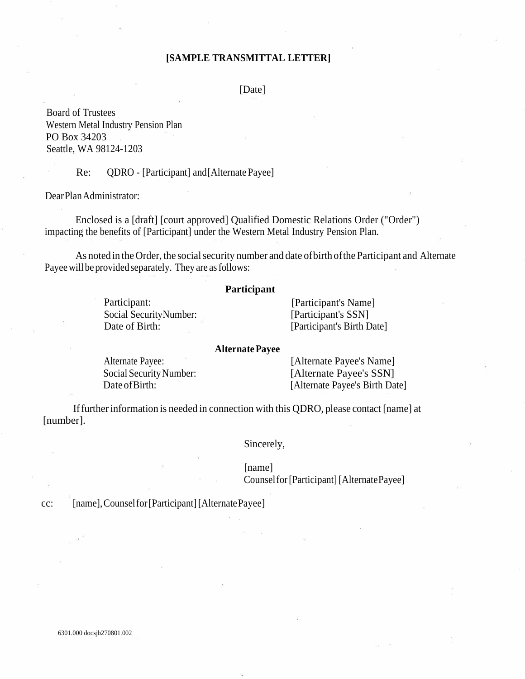# **[SAMPLE TRANSMITTAL LETTER]**

[Date]

Board of Trustees Western Metal Industry Pension Plan PO Box 34203 Seattle, WA 98124-1203

Re: QDRO - [Participant] and[Alternate Payee]

DearPlanAdministrator:

Enclosed is a [draft] [court approved] Qualified Domestic Relations Order ("Order") impacting the benefits of [Participant] under the Western Metal Industry Pension Plan.

As noted in the Order, the social security number and date of birth of the Participant and Alternate Payee will be provided separately. They are as follows:

### **Participant**

Participant: Social SecurityNumber: Date of Birth:

[Participant's Name] [Participant's SSN] [Participant's Birth Date]

### **AlternatePayee**

Alternate Payee: Social Security Number: Date of Birth:

[Alternate Payee's Name] [Alternate Payee's SSN] [Alternate Payee's Birth Date]

If further information is needed in connection with this QDRO, please contact [name] at [number].

Sincerely,

# [name]

Counselfor[Participant][AlternatePayee]

cc: [name],Counselfor[Participant][AlternatePayee]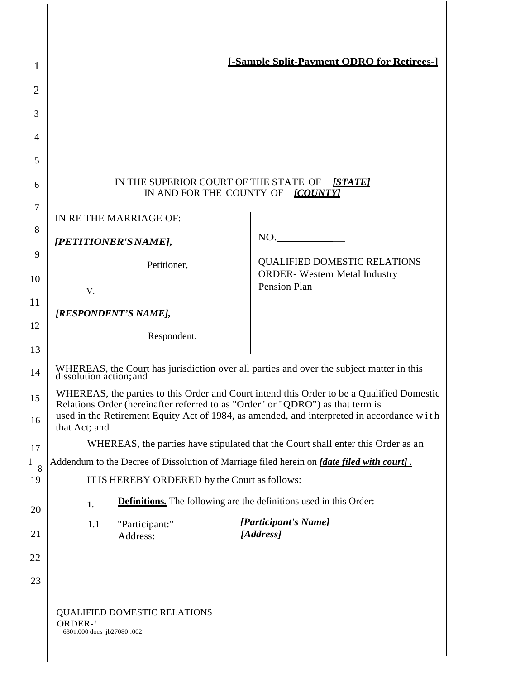| 1                       |                                                                                                                                                                                                                                                                                           | <b>[-Sample Split-Payment ODRO for Retirees-]</b>                                |
|-------------------------|-------------------------------------------------------------------------------------------------------------------------------------------------------------------------------------------------------------------------------------------------------------------------------------------|----------------------------------------------------------------------------------|
| $\overline{2}$<br>3     |                                                                                                                                                                                                                                                                                           |                                                                                  |
| 4                       |                                                                                                                                                                                                                                                                                           |                                                                                  |
| 5                       |                                                                                                                                                                                                                                                                                           |                                                                                  |
| 6                       | IN THE SUPERIOR COURT OF THE STATE OF<br>IN AND FOR THE COUNTY OF <i>[COUNTY]</i>                                                                                                                                                                                                         | [STATE]                                                                          |
| 7                       | IN RE THE MARRIAGE OF:                                                                                                                                                                                                                                                                    |                                                                                  |
| 8                       | [PETITIONER'S NAME],                                                                                                                                                                                                                                                                      | NO.                                                                              |
| 9<br>10                 | Petitioner,                                                                                                                                                                                                                                                                               | <b>QUALIFIED DOMESTIC RELATIONS</b><br><b>ORDER-</b> Western Metal Industry      |
| 11                      | V.                                                                                                                                                                                                                                                                                        | <b>Pension Plan</b>                                                              |
| 12                      | [RESPONDENT'S NAME],                                                                                                                                                                                                                                                                      |                                                                                  |
| 13                      | Respondent.                                                                                                                                                                                                                                                                               |                                                                                  |
| 14                      | WHEREAS, the Court has jurisdiction over all parties and over the subject matter in this dissolution action; and                                                                                                                                                                          |                                                                                  |
| 15<br>16                | WHEREAS, the parties to this Order and Court intend this Order to be a Qualified Domestic<br>Relations Order (hereinafter referred to as "Order" or "QDRO") as that term is<br>used in the Retirement Equity Act of 1984, as amended, and interpreted in accordance with<br>that Act; and |                                                                                  |
| 17                      |                                                                                                                                                                                                                                                                                           | WHEREAS, the parties have stipulated that the Court shall enter this Order as an |
| $\mathbf{1}$<br>8<br>19 | Addendum to the Decree of Dissolution of Marriage filed herein on <i>[date filed with court]</i> .<br>IT IS HEREBY ORDERED by the Court as follows:                                                                                                                                       |                                                                                  |
| 20                      | <b>Definitions.</b> The following are the definitions used in this Order:<br>1.                                                                                                                                                                                                           |                                                                                  |
| 21                      | "Participant:"<br>1.1<br>Address:                                                                                                                                                                                                                                                         | [Participant's Name]<br>[Address]                                                |
| 22                      |                                                                                                                                                                                                                                                                                           |                                                                                  |
| 23                      |                                                                                                                                                                                                                                                                                           |                                                                                  |
|                         | <b>QUALIFIED DOMESTIC RELATIONS</b><br>ORDER-!<br>6301.000 docs jb27080!.002                                                                                                                                                                                                              |                                                                                  |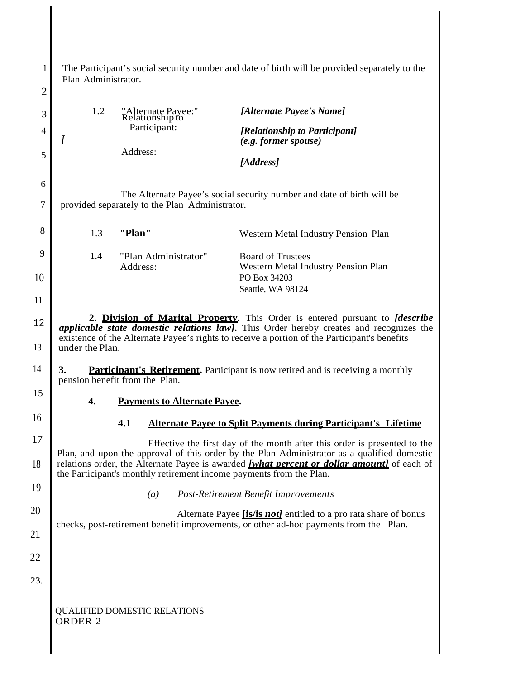| 1<br>$\overline{c}$ | Plan Administrator. |                                                | The Participant's social security number and date of birth will be provided separately to the                                                                                                                                                                                         |
|---------------------|---------------------|------------------------------------------------|---------------------------------------------------------------------------------------------------------------------------------------------------------------------------------------------------------------------------------------------------------------------------------------|
| 3                   | 1.2                 | "Alternate Payee:"<br>Relationship to          | [Alternate Payee's Name]                                                                                                                                                                                                                                                              |
| 4                   | I                   | Participant:                                   | [Relationship to Participant]                                                                                                                                                                                                                                                         |
| 5                   |                     | Address:                                       | $(e.g. former\,space)$                                                                                                                                                                                                                                                                |
|                     |                     |                                                | [Address]                                                                                                                                                                                                                                                                             |
| 6<br>7              |                     | provided separately to the Plan Administrator. | The Alternate Payee's social security number and date of birth will be                                                                                                                                                                                                                |
| 8                   | 1.3                 | "Plan"                                         | Western Metal Industry Pension Plan                                                                                                                                                                                                                                                   |
| 9                   | 1.4                 | "Plan Administrator"<br>Address:               | <b>Board of Trustees</b><br>Western Metal Industry Pension Plan                                                                                                                                                                                                                       |
| 10                  |                     |                                                | PO Box 34203<br>Seattle, WA 98124                                                                                                                                                                                                                                                     |
| 11                  |                     |                                                |                                                                                                                                                                                                                                                                                       |
| 12                  |                     |                                                | 2. Division of Marital Property. This Order is entered pursuant to <i>[describe</i><br><i>applicable state domestic relations law]</i> . This Order hereby creates and recognizes the<br>existence of the Alternate Payee's rights to receive a portion of the Participant's benefits |
| 13                  | under the Plan.     |                                                |                                                                                                                                                                                                                                                                                       |
| 14                  | 3.                  | pension benefit from the Plan.                 | <b>Participant's Retirement.</b> Participant is now retired and is receiving a monthly                                                                                                                                                                                                |
| 15                  | 4.                  | <b>Payments to Alternate Payee.</b>            |                                                                                                                                                                                                                                                                                       |
| 16                  |                     | 4.1                                            | <b>Alternate Pavee to Split Payments during Participant's Lifetime</b>                                                                                                                                                                                                                |
| 17                  |                     |                                                | Effective the first day of the month after this order is presented to the<br>Plan, and upon the approval of this order by the Plan Administrator as a qualified domestic                                                                                                              |
| 18                  |                     |                                                | relations order, the Alternate Payee is awarded <i>[what percent or dollar amount]</i> of each of<br>the Participant's monthly retirement income payments from the Plan.                                                                                                              |
| 19                  |                     | (a)                                            | <b>Post-Retirement Benefit Improvements</b>                                                                                                                                                                                                                                           |
| 20                  |                     |                                                | Alternate Payee <i>[is/is not]</i> entitled to a pro rata share of bonus                                                                                                                                                                                                              |
| 21                  |                     |                                                | checks, post-retirement benefit improvements, or other ad-hoc payments from the Plan.                                                                                                                                                                                                 |
| 22                  |                     |                                                |                                                                                                                                                                                                                                                                                       |
| 23.                 |                     |                                                |                                                                                                                                                                                                                                                                                       |
|                     | ORDER-2             | <b>QUALIFIED DOMESTIC RELATIONS</b>            |                                                                                                                                                                                                                                                                                       |

 $\overline{\phantom{a}}$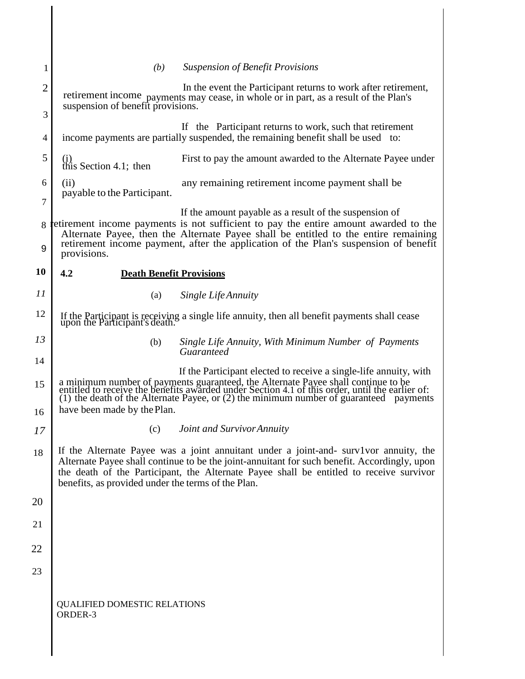| 1              | <b>Suspension of Benefit Provisions</b><br>(b)                                                                                                                                                                                                                                                                                         |
|----------------|----------------------------------------------------------------------------------------------------------------------------------------------------------------------------------------------------------------------------------------------------------------------------------------------------------------------------------------|
| $\overline{2}$ | In the event the Participant returns to work after retirement,<br>retirement income payments may cease, in whole or in part, as a result of the Plan's                                                                                                                                                                                 |
| 3              | suspension of benefit provisions.                                                                                                                                                                                                                                                                                                      |
| 4              | If the Participant returns to work, such that retirement<br>income payments are partially suspended, the remaining benefit shall be used to:                                                                                                                                                                                           |
| 5              | First to pay the amount awarded to the Alternate Payee under<br>$(i)$<br>this Section 4.1; then                                                                                                                                                                                                                                        |
| 6              | any remaining retirement income payment shall be<br>(ii)<br>payable to the Participant.                                                                                                                                                                                                                                                |
| $\overline{7}$ |                                                                                                                                                                                                                                                                                                                                        |
| 8              | If the amount payable as a result of the suspension of<br>retirement income payments is not sufficient to pay the entire amount awarded to the<br>Alternate Payee, then the Alternate Payee shall be entitled to the entire remaining                                                                                                  |
| 9              | retirement income payment, after the application of the Plan's suspension of benefit<br>provisions.                                                                                                                                                                                                                                    |
| 10             | 4.2<br><b>Death Benefit Provisions</b>                                                                                                                                                                                                                                                                                                 |
| 11             | (a)<br>Single Life Annuity                                                                                                                                                                                                                                                                                                             |
| 12             | If the Participant is receiving a single life annuity, then all benefit payments shall cease upon the Participant's death.                                                                                                                                                                                                             |
| 13             | Single Life Annuity, With Minimum Number of Payments<br>(b)<br>Guaranteed                                                                                                                                                                                                                                                              |
| 14             |                                                                                                                                                                                                                                                                                                                                        |
| 15             | If the Participant elected to receive a single-life annuity, with<br>a minimum number of payments guaranteed, the Alternate Payee shall continue to be entitled to receive the benefits awarded under Section 4.1 of this order, until the earlier of: (1) the death of the Alternate Payee, or (2)                                    |
| 16             | have been made by the Plan.                                                                                                                                                                                                                                                                                                            |
| 17             | Joint and Survivor Annuity<br>(c)                                                                                                                                                                                                                                                                                                      |
| 18             | If the Alternate Payee was a joint annuitant under a joint-and- surv1vor annuity, the<br>Alternate Payee shall continue to be the joint-annuitant for such benefit. Accordingly, upon<br>the death of the Participant, the Alternate Payee shall be entitled to receive survivor<br>benefits, as provided under the terms of the Plan. |
| 20             |                                                                                                                                                                                                                                                                                                                                        |
| 21             |                                                                                                                                                                                                                                                                                                                                        |
| 22             |                                                                                                                                                                                                                                                                                                                                        |
| 23             |                                                                                                                                                                                                                                                                                                                                        |
|                | <b>QUALIFIED DOMESTIC RELATIONS</b><br>ORDER-3                                                                                                                                                                                                                                                                                         |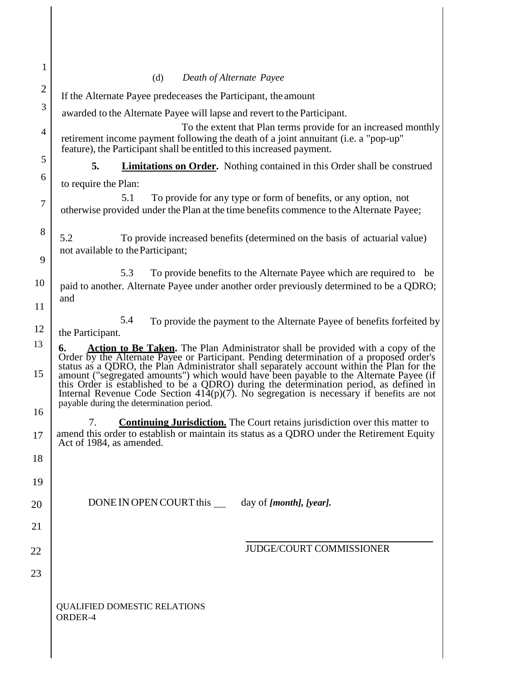| $\mathbf{1}$   |                                                                                                                                                                                                                                                                                                                                                                                                                                                                                                                           |
|----------------|---------------------------------------------------------------------------------------------------------------------------------------------------------------------------------------------------------------------------------------------------------------------------------------------------------------------------------------------------------------------------------------------------------------------------------------------------------------------------------------------------------------------------|
| $\overline{2}$ | (d)<br>Death of Alternate Payee                                                                                                                                                                                                                                                                                                                                                                                                                                                                                           |
| 3              | If the Alternate Payee predeceases the Participant, the amount                                                                                                                                                                                                                                                                                                                                                                                                                                                            |
|                | awarded to the Alternate Payee will lapse and revert to the Participant.                                                                                                                                                                                                                                                                                                                                                                                                                                                  |
| $\overline{4}$ | To the extent that Plan terms provide for an increased monthly<br>retirement income payment following the death of a joint annuitant (i.e. a "pop-up"<br>feature), the Participant shall be entitled to this increased payment.                                                                                                                                                                                                                                                                                           |
| 5              | 5.<br><b>Limitations on Order.</b> Nothing contained in this Order shall be construed                                                                                                                                                                                                                                                                                                                                                                                                                                     |
| 6              | to require the Plan:                                                                                                                                                                                                                                                                                                                                                                                                                                                                                                      |
| $\overline{7}$ | To provide for any type or form of benefits, or any option, not<br>5.1<br>otherwise provided under the Plan at the time benefits commence to the Alternate Payee;                                                                                                                                                                                                                                                                                                                                                         |
| 8              | 5.2<br>To provide increased benefits (determined on the basis of actuarial value)<br>not available to the Participant;                                                                                                                                                                                                                                                                                                                                                                                                    |
| 9              |                                                                                                                                                                                                                                                                                                                                                                                                                                                                                                                           |
| 10             | 5.3<br>To provide benefits to the Alternate Payee which are required to be<br>paid to another. Alternate Payee under another order previously determined to be a QDRO;<br>and                                                                                                                                                                                                                                                                                                                                             |
| 11             |                                                                                                                                                                                                                                                                                                                                                                                                                                                                                                                           |
| 12<br>13       | 5.4<br>To provide the payment to the Alternate Payee of benefits forfeited by<br>the Participant.<br><b>Action to Be Taken.</b> The Plan Administrator shall be provided with a copy of the<br>6.                                                                                                                                                                                                                                                                                                                         |
| 15             | Order by the Alternate Payee or Participant. Pending determination of a proposed order's<br>status as a QDRO, the Plan Administrator shall separately account within the Plan for the<br>amount ("segregated amounts") which would have been payable to the Alternate Payee (if this Order is established to be a QDRO) during the determination period, as defined in<br>Internal Revenue Code Section $41\tilde{4}(p)(7)$ . No segregation is necessary if benefits are not<br>payable during the determination period. |
| 16             |                                                                                                                                                                                                                                                                                                                                                                                                                                                                                                                           |
| 17             | 7.<br><b>Continuing Jurisdiction.</b> The Court retains jurisdiction over this matter to<br>amend this order to establish or maintain its status as a QDRO under the Retirement Equity<br>Act of 1984, as amended.                                                                                                                                                                                                                                                                                                        |
| 18             |                                                                                                                                                                                                                                                                                                                                                                                                                                                                                                                           |
| 19             |                                                                                                                                                                                                                                                                                                                                                                                                                                                                                                                           |
| 20             | DONE IN OPEN COURT this ______ day of [month], [year].                                                                                                                                                                                                                                                                                                                                                                                                                                                                    |
| 21             |                                                                                                                                                                                                                                                                                                                                                                                                                                                                                                                           |
| 22             | <b>JUDGE/COURT COMMISSIONER</b>                                                                                                                                                                                                                                                                                                                                                                                                                                                                                           |
|                |                                                                                                                                                                                                                                                                                                                                                                                                                                                                                                                           |
| 23             |                                                                                                                                                                                                                                                                                                                                                                                                                                                                                                                           |
|                | <b>QUALIFIED DOMESTIC RELATIONS</b><br>ORDER-4                                                                                                                                                                                                                                                                                                                                                                                                                                                                            |
|                |                                                                                                                                                                                                                                                                                                                                                                                                                                                                                                                           |